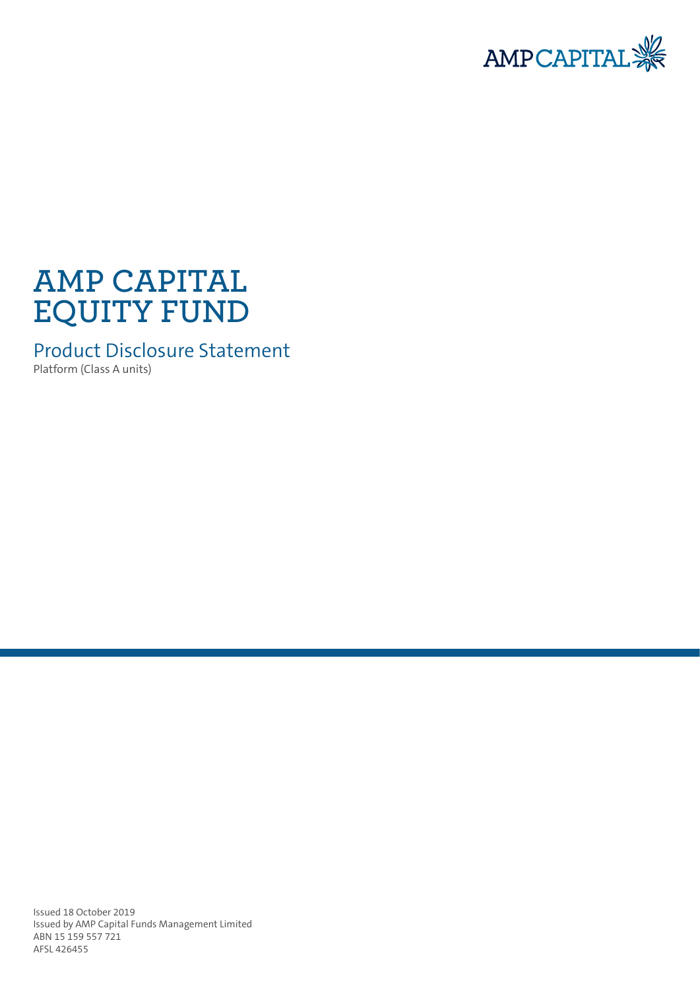

# **AMP CAPITAL EQUITY FUND**

Product Disclosure Statement

Platform (Class A units)

Issued 18 October 2019 Issued by AMP Capital Funds Management Limited ABN 15 159 557 721 AFSL 426455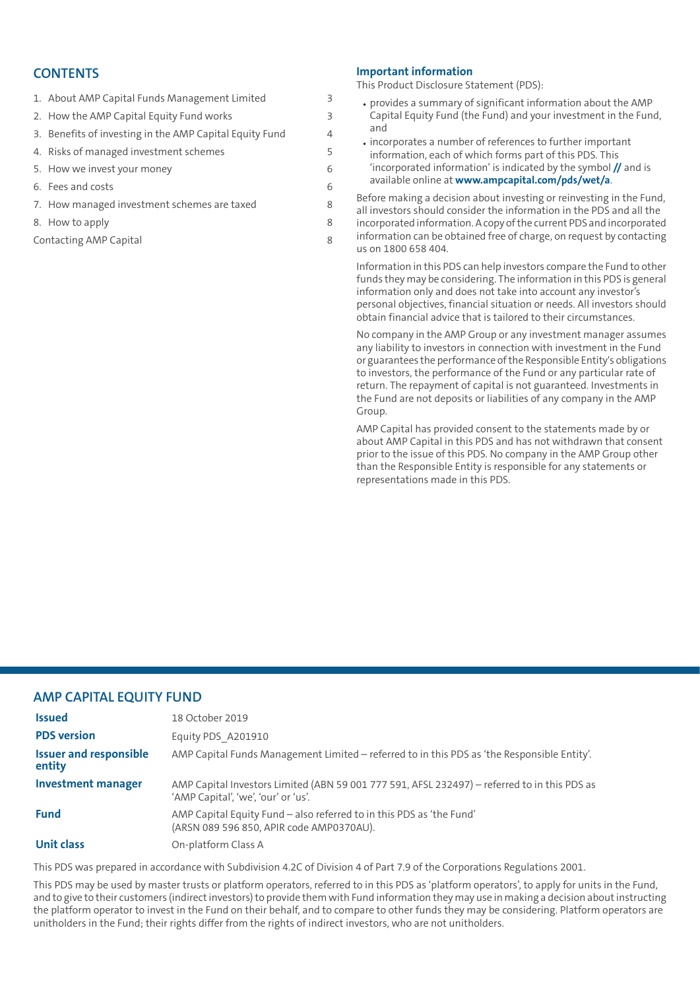## **CONTENTS**

| 1. About AMP Capital Funds Management Limited           | 3 |
|---------------------------------------------------------|---|
| 2. How the AMP Capital Equity Fund works                | 3 |
| 3. Benefits of investing in the AMP Capital Equity Fund | 4 |
| 4. Risks of managed investment schemes                  | 5 |
| 5. How we invest your money                             | 6 |
| 6. Fees and costs                                       | 6 |
| 7. How managed investment schemes are taxed             | 8 |
| 8. How to apply                                         | 8 |

[Contacting](#page-7-2) AMP Capital [8](#page-7-2)

#### **Important information**

This Product Disclosure Statement (PDS):

- provides a summary of significant information about the AMP Capital Equity Fund (the Fund) and your investment in the Fund, and
- incorporates a number of references to further important information, each of which forms part of this PDS. This 'incorporated information' is indicated by the symbol **//** and is available online at **<www.ampcapital.com/pds/wet/a>**.

Before making a decision about investing or reinvesting in the Fund, all investors should consider the information in the PDS and all the incorporated information.Acopy ofthe current PDS and incorporated information can be obtained free of charge, on request by contacting us on 1800 658 404.

Information in this PDS can help investors compare the Fund to other funds they may be considering. The information in this PDS is general information only and does not take into account any investor's personal objectives, financial situation or needs. All investors should obtain financial advice that is tailored to their circumstances.

No company in the AMP Group or any investment manager assumes any liability to investors in connection with investment in the Fund or guarantees the performance ofthe Responsible Entity's obligations to investors, the performance of the Fund or any particular rate of return. The repayment of capital is not guaranteed. Investments in the Fund are not deposits or liabilities of any company in the AMP Group.

AMP Capital has provided consent to the statements made by or about AMP Capital in this PDS and has not withdrawn that consent prior to the issue of this PDS. No company in the AMP Group other than the Responsible Entity is responsible for any statements or representations made in this PDS.

#### **AMP CAPITAL EQUITY FUND**

| <b>Issued</b>                           | 18 October 2019                                                                                                                     |
|-----------------------------------------|-------------------------------------------------------------------------------------------------------------------------------------|
| <b>PDS</b> version                      | Equity PDS A201910                                                                                                                  |
| <b>Issuer and responsible</b><br>entity | AMP Capital Funds Management Limited - referred to in this PDS as 'the Responsible Entity'.                                         |
| <b>Investment manager</b>               | AMP Capital Investors Limited (ABN 59 001 777 591, AFSL 232497) - referred to in this PDS as<br>'AMP Capital', 'we', 'our' or 'us'. |
| <b>Fund</b>                             | AMP Capital Equity Fund - also referred to in this PDS as 'the Fund'<br>(ARSN 089 596 850, APIR code AMP0370AU).                    |
| <b>Unit class</b>                       | On-platform Class A                                                                                                                 |

This PDS was prepared in accordance with Subdivision 4.2C of Division 4 of Part 7.9 of the Corporations Regulations 2001.

This PDS may be used by master trusts or platform operators, referred to in this PDS as 'platform operators', to apply for units in the Fund, and to give to their customers (indirectinvestors)to provide them with Fund information they may use in making a decision aboutinstructing the platform operator to invest in the Fund on their behalf, and to compare to other funds they may be considering. Platform operators are unitholders in the Fund; their rights differ from the rights of indirect investors, who are not unitholders.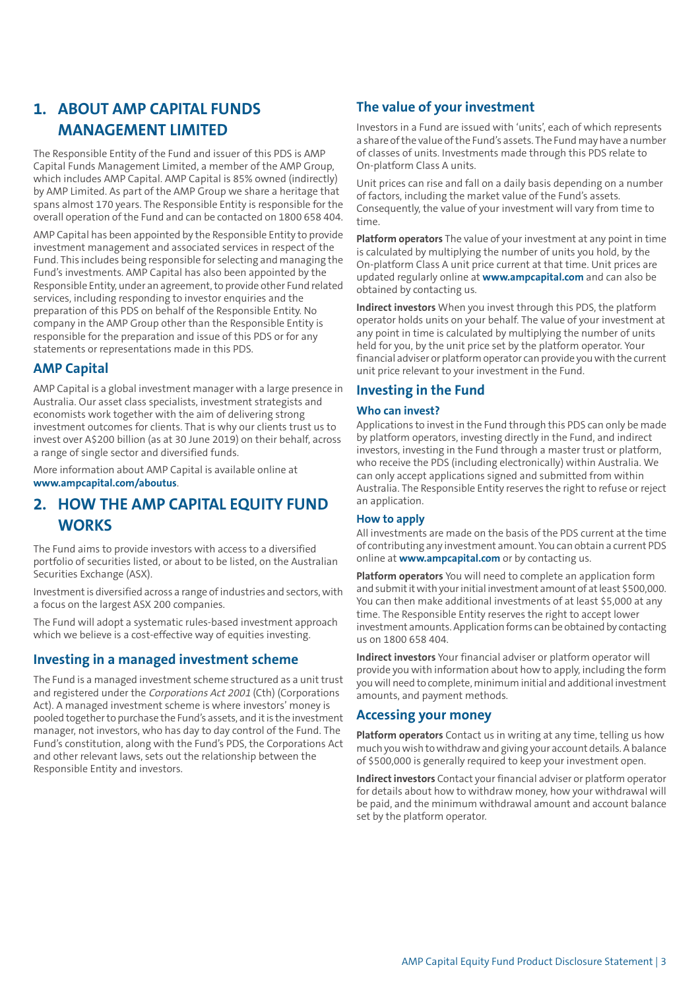# <span id="page-2-0"></span>**1. ABOUT AMP CAPITAL FUNDS MANAGEMENT LIMITED**

The Responsible Entity of the Fund and issuer of this PDS is AMP Capital Funds Management Limited, a member of the AMP Group, which includes AMP Capital. AMP Capital is 85% owned (indirectly) by AMP Limited. As part of the AMP Group we share a heritage that spans almost 170 years. The Responsible Entity is responsible for the overall operation of the Fund and can be contacted on 1800 658 404.

AMP Capital has been appointed by the Responsible Entity to provide investment management and associated services in respect of the Fund. This includes being responsible for selecting and managing the Fund's investments. AMP Capital has also been appointed by the Responsible Entity, under an agreement, to provide other Fund related services, including responding to investor enquiries and the preparation of this PDS on behalf of the Responsible Entity. No company in the AMP Group other than the Responsible Entity is responsible for the preparation and issue of this PDS or for any statements or representations made in this PDS.

#### **AMP Capital**

AMP Capital is a global investment manager with a large presence in Australia. Our asset class specialists, investment strategists and economists work together with the aim of delivering strong investment outcomes for clients. That is why our clients trust us to invest over A\$200 billion (as at 30 June 2019) on their behalf, across a range of single sector and diversified funds.

<span id="page-2-1"></span>More information about AMP Capital is available online at **[www.ampcapital.com/aboutus](https://www.ampcapital.com/aboutus)**.

# **2. HOW THE AMP CAPITAL EQUITY FUND WORKS**

The Fund aims to provide investors with access to a diversified portfolio of securities listed, or about to be listed, on the Australian Securities Exchange (ASX).

Investment is diversified across a range of industries and sectors, with a focus on the largest ASX 200 companies.

The Fund will adopt a systematic rules-based investment approach which we believe is a cost-effective way of equities investing.

#### **Investing in a managed investment scheme**

The Fund is a managed investment scheme structured as a unit trust and registered under the Corporations Act <sup>2001</sup> (Cth) (Corporations Act). A managed investment scheme is where investors' money is pooled together to purchase the Fund's assets, and it is the investment manager, not investors, who has day to day control of the Fund. The Fund's constitution, along with the Fund's PDS, the Corporations Act and other relevant laws, sets out the relationship between the Responsible Entity and investors.

## **The value of your investment**

Investors in a Fund are issued with 'units', each of which represents a share ofthe value ofthe Fund's assets. The Fund may have a number of classes of units. Investments made through this PDS relate to On-platform Class A units.

Unit prices can rise and fall on a daily basis depending on a number of factors, including the market value of the Fund's assets. Consequently, the value of your investment will vary from time to time.

**Platform operators** The value of your investment at any point in time is calculated by multiplying the number of units you hold, by the On-platform Class A unit price current at that time. Unit prices are updated regularly online at **<www.ampcapital.com>** and can also be obtained by contacting us.

**Indirect investors** When you invest through this PDS, the platform operator holds units on your behalf. The value of your investment at any point in time is calculated by multiplying the number of units held for you, by the unit price set by the platform operator. Your financial adviser or platform operator can provide you with the current unit price relevant to your investment in the Fund.

## **Investing in the Fund**

#### **Who can invest?**

Applications to investin the Fund through this PDS can only be made by platform operators, investing directly in the Fund, and indirect investors, investing in the Fund through a master trust or platform, who receive the PDS (including electronically) within Australia. We can only accept applications signed and submitted from within Australia. The Responsible Entity reserves the right to refuse or reject an application.

#### **How to apply**

All investments are made on the basis of the PDS current at the time of contributing any investment amount. You can obtain a current PDS online at **<www.ampcapital.com>** or by contacting us.

**Platform operators** You will need to complete an application form and submit it with your initial investment amount of at least \$500,000. You can then make additional investments of at least \$5,000 at any time. The Responsible Entity reserves the right to accept lower investment amounts.Application forms can be obtained by contacting us on 1800 658 404.

**Indirect investors** Your financial adviser or platform operator will provide you with information about how to apply, including the form youwill need to complete, minimum initial and additional investment amounts, and payment methods.

#### **Accessing your money**

**Platform operators** Contact us in writing at any time, telling us how much youwish towithdrawand giving your account details.Abalance of \$500,000 is generally required to keep your investment open.

**Indirect investors** Contact your financial adviser or platform operator for details about how to withdraw money, how your withdrawal will be paid, and the minimum withdrawal amount and account balance set by the platform operator.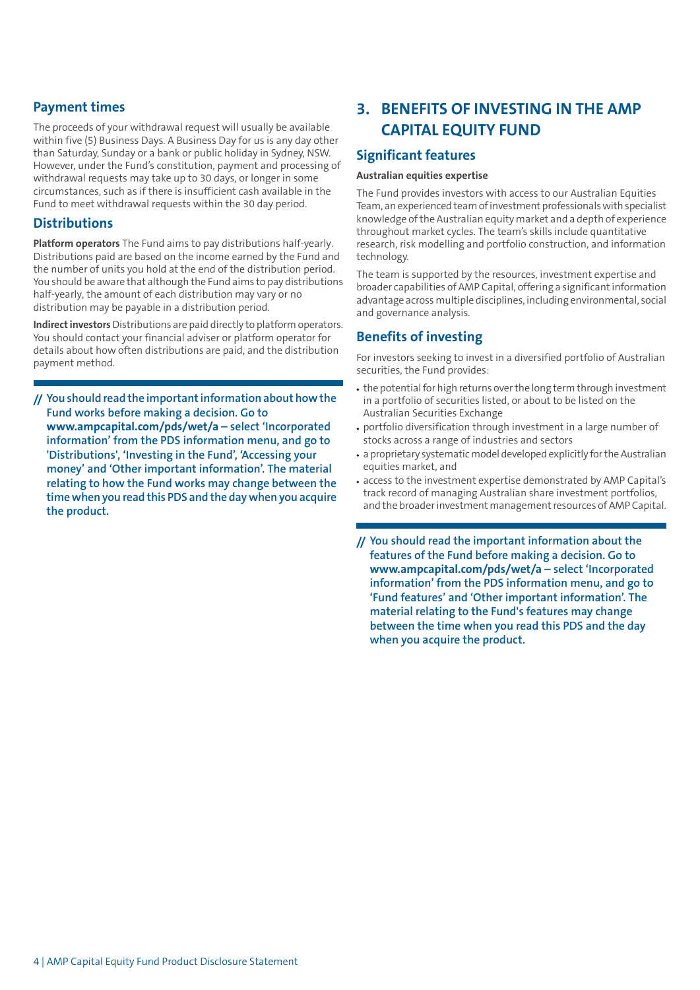## **Payment times**

The proceeds of your withdrawal request will usually be available within five (5) Business Days. A Business Day for us is any day other than Saturday, Sunday or a bank or public holiday in Sydney, NSW. However, under the Fund's constitution, payment and processing of withdrawal requests may take up to 30 days, or longer in some circumstances, such as if there is insufficient cash available in the Fund to meet withdrawal requests within the 30 day period.

#### **Distributions**

**Platform operators** The Fund aims to pay distributions half-yearly. Distributions paid are based on the income earned by the Fund and the number of units you hold at the end of the distribution period. You should be aware that although the Fund aims to pay distributions half-yearly, the amount of each distribution may vary or no distribution may be payable in a distribution period.

**Indirect investors** Distributions are paid directly to platform operators. You should contact your financial adviser or platform operator for details about how often distributions are paid, and the distribution payment method.

**// Youshould read the importantinformationabouthowthe Fund works before making a decision. Go to <www.ampcapital.com/pds/wet/a> – select 'Incorporated information' from the PDS information menu, and go to 'Distributions', 'Investing in the Fund', 'Accessing your money' and 'Other important information'. The material relating to how the Fund works may change between the timewhen you read this PDS and the daywhen you acquire the product.**

# <span id="page-3-0"></span>**3. BENEFITS OF INVESTING IN THE AMP CAPITAL EQUITY FUND**

## **Significant features**

#### **Australian equities expertise**

The Fund provides investors with access to our Australian Equities Team, an experienced team of investment professionals with specialist knowledge ofthe Australian equity market and a depth of experience throughout market cycles. The team's skills include quantitative research, risk modelling and portfolio construction, and information technology.

The team is supported by the resources, investment expertise and broader capabilities of AMP Capital, offering a significant information advantage across multiple disciplines, including environmental, social and governance analysis.

## **Benefits of investing**

For investors seeking to invest in a diversified portfolio of Australian securities, the Fund provides:

- the potential for high returns over the long term through investment in a portfolio of securities listed, or about to be listed on the Australian Securities Exchange
- portfolio diversification through investment in a large number of stocks across a range of industries and sectors
- a proprietary systematic model developed explicitly for the Australian equities market, and
- access to the investment expertise demonstrated by AMP Capital's track record of managing Australian share investment portfolios, and the broader investment management resources of AMP Capital.
- **// You should read the important information about the features of the Fund before making a decision. Go to <www.ampcapital.com/pds/wet/a> – select 'Incorporated information' from the PDS information menu, and go to 'Fund features' and 'Other important information'. The material relating to the Fund's features may change between the time when you read this PDS and the day when you acquire the product.**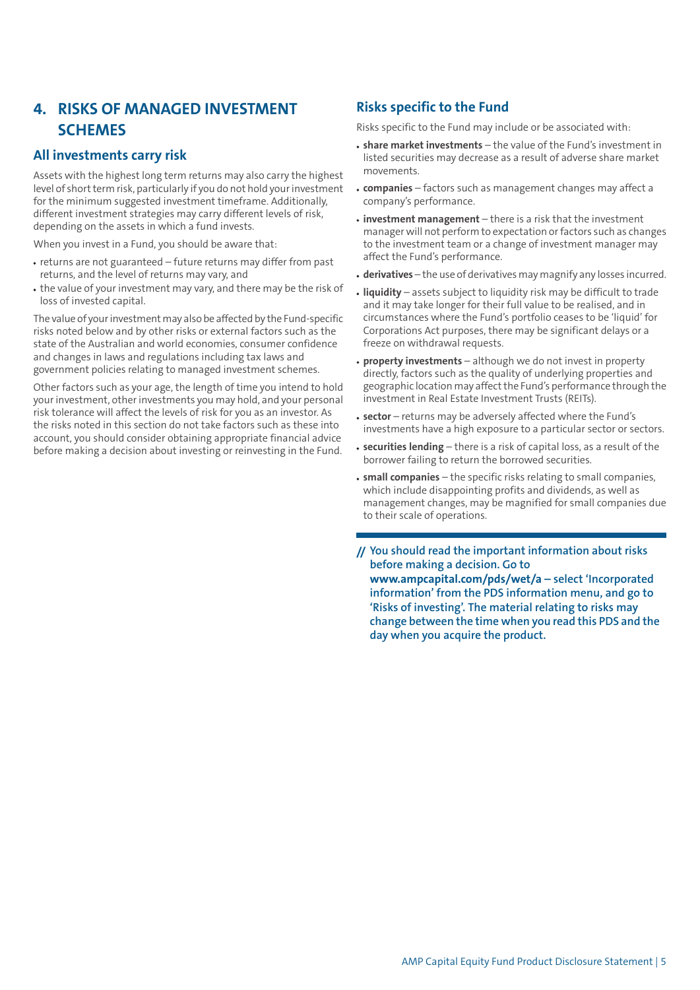# <span id="page-4-0"></span>**4. RISKS OF MANAGED INVESTMENT SCHEMES**

## **All investments carry risk**

Assets with the highest long term returns may also carry the highest level of short term risk, particularly if you do not hold your investment for the minimum suggested investment timeframe. Additionally, different investment strategies may carry different levels of risk, depending on the assets in which a fund invests.

When you invest in a Fund, you should be aware that:

- returns are not guaranteed future returns may differ from past returns, and the level of returns may vary, and
- the value of your investment may vary, and there may be the risk of loss of invested capital.

The value of your investment may also be affected by the Fund-specific risks noted below and by other risks or external factors such as the state of the Australian and world economies, consumer confidence and changes in laws and regulations including tax laws and government policies relating to managed investment schemes.

Other factors such as your age, the length of time you intend to hold your investment, other investments you may hold, and your personal risk tolerance will affect the levels of risk for you as an investor. As the risks noted in this section do not take factors such as these into account, you should consider obtaining appropriate financial advice before making a decision about investing or reinvesting in the Fund.

## **Risks specific to the Fund**

Risks specific to the Fund may include or be associated with:

- **share market investments** the value of the Fund's investment in listed securities may decrease as a result of adverse share market movements.
- **companies** factors such as management changes may affect a company's performance.
- **investment management** there is a risk that the investment manager will not perform to expectation orfactors such as changes to the investment team or a change of investment manager may affect the Fund's performance.
- **derivatives** the use of derivatives may magnify any losses incurred.
- **liquidity** assets subject to liquidity risk may be difficult to trade and it may take longer for their full value to be realised, and in circumstances where the Fund's portfolio ceases to be 'liquid' for Corporations Act purposes, there may be significant delays or a freeze on withdrawal requests.
- **property investments** although we do not invest in property directly, factors such as the quality of underlying properties and geographic location may affect the Fund's performance through the investment in Real Estate Investment Trusts (REITs).
- **sector** returns may be adversely affected where the Fund's investments have a high exposure to a particular sector or sectors.
- **securities lending** there is a risk of capital loss, as a result of the borrower failing to return the borrowed securities.
- **small companies** the specific risks relating to small companies, which include disappointing profits and dividends, as well as management changes, may be magnified for small companies due to their scale of operations.
- **// You should read the important information about risks before making a decision. Go to <www.ampcapital.com/pds/wet/a> – select 'Incorporated information' from the PDS information menu, and go to 'Risks of investing'. The material relating to risks may change between the time when you read this PDS and the day when you acquire the product.**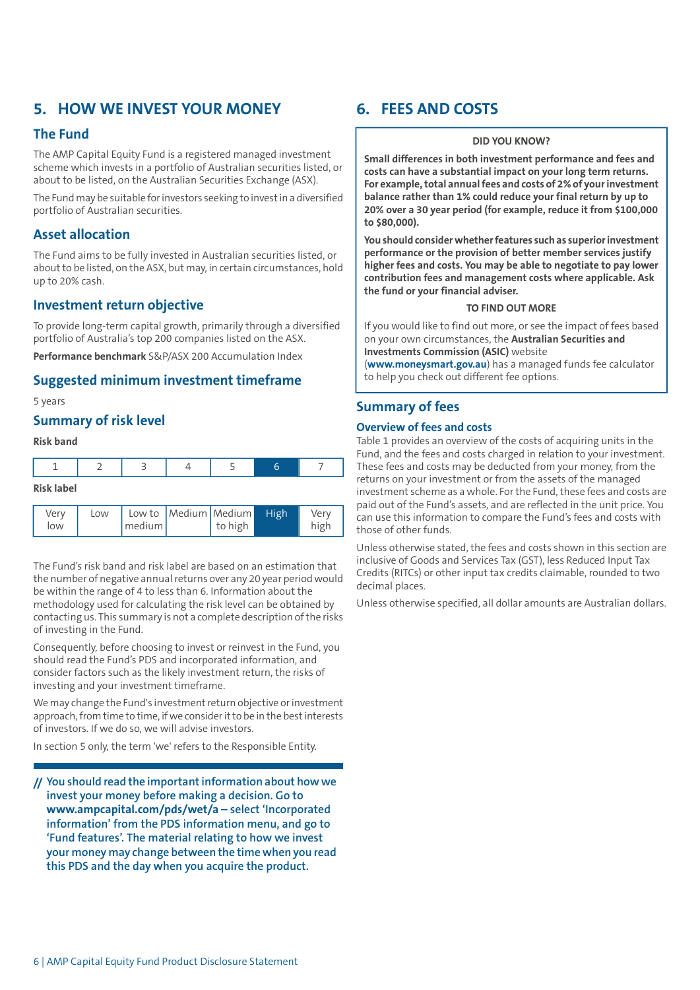# <span id="page-5-0"></span>**5. HOW WE INVEST YOUR MONEY**

## **The Fund**

The AMP Capital Equity Fund is a registered managed investment scheme which invests in a portfolio of Australian securities listed, or about to be listed, on the Australian Securities Exchange (ASX).

The Fund may be suitable for investors seeking to invest in a diversified portfolio of Australian securities.

## **Asset allocation**

The Fund aims to be fully invested in Australian securities listed, or aboutto be listed, on the ASX, but may, in certain circumstances, hold up to 20% cash.

#### **Investment return objective**

To provide long-term capital growth, primarily through a diversified portfolio of Australia's top 200 companies listed on the ASX.

**Performance benchmark** S&P/ASX 200 Accumulation Index

#### **Suggested minimum investment timeframe**

#### 5 years

## **Summary of risk level**

#### **Risk band**

low

| Risk label |     |  |                           |  |  |      |  |
|------------|-----|--|---------------------------|--|--|------|--|
| Verv       | Low |  | Low to Medium Medium High |  |  | Verv |  |

medium

to high

The Fund's risk band and risk label are based on an estimation that the number of negative annual returns over any 20 year period would be within the range of 4 to less than 6. Information about the methodology used for calculating the risk level can be obtained by contacting us. This summary is not a complete description ofthe risks of investing in the Fund.

Consequently, before choosing to invest or reinvest in the Fund, you should read the Fund's PDS and incorporated information, and consider factors such as the likely investment return, the risks of investing and your investment timeframe.

We may change the Fund's investment return objective or investment approach, from time to time, if we consider it to be in the best interests of investors. If we do so, we will advise investors.

In section 5 only, the term 'we' refers to the Responsible Entity.

**// You should read the importantinformation about how we invest your money before making a decision. Go to <www.ampcapital.com/pds/wet/a> – select 'Incorporated information' from the PDS information menu, and go to 'Fund features'. The material relating to how we invest your money may change between the timewhen you read this PDS and the day when you acquire the product.**

# <span id="page-5-1"></span>**6. FEES AND COSTS**

#### **DID YOU KNOW?**

**Small differences in both investment performance and fees and costs can have a substantial impact on your long term returns. For example,total annualfees and costs of 2% of yourinvestment balance rather than 1% could reduce your final return by up to 20% over a 30 year period (for example, reduce it from \$100,000 to \$80,000).**

**You should considerwhetherfeatures such as superiorinvestment performance or the provision of better member services justify higher fees and costs. You may be able to negotiate to pay lower contribution fees and management costs where applicable. Ask the fund or your financial adviser.**

#### **TO FIND OUT MORE**

If you would like to find out more, or see the impact of fees based on your own circumstances, the **Australian Securities and Investments Commission (ASIC)** website

(**[www.moneysmart.gov.au](http://www.moneysmart.gov.au)**) has a managed funds fee calculator to help you check out different fee options.

#### **Summary of fees**

high

#### **Overview of fees and costs**

Table 1 provides an overview of the costs of acquiring units in the Fund, and the fees and costs charged in relation to your investment. These fees and costs may be deducted from your money, from the returns on your investment or from the assets of the managed investment scheme as a whole. For the Fund, these fees and costs are paid out of the Fund's assets, and are reflected in the unit price. You can use this information to compare the Fund's fees and costs with those of other funds.

Unless otherwise stated, the fees and costs shown in this section are inclusive of Goods and Services Tax (GST), less Reduced Input Tax Credits (RITCs) or other input tax credits claimable, rounded to two decimal places.

Unless otherwise specified, all dollar amounts are Australian dollars.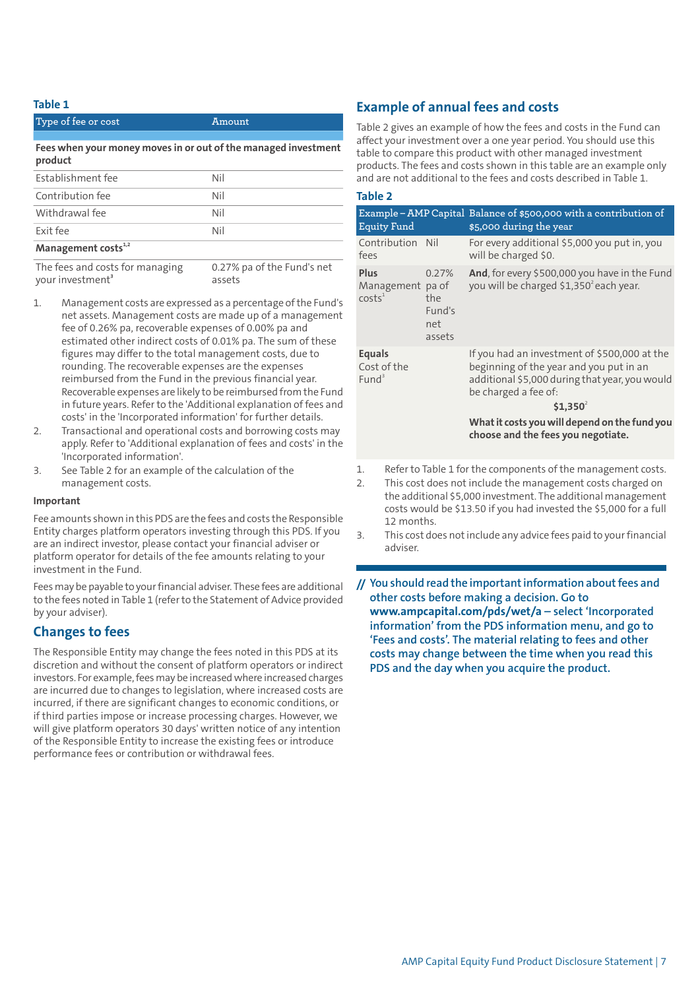#### **Table 1**

| Type of fee or cost                                                       | Amount                               |  |  |  |
|---------------------------------------------------------------------------|--------------------------------------|--|--|--|
| Fees when your money moves in or out of the managed investment<br>product |                                      |  |  |  |
| Establishment fee                                                         | Nil                                  |  |  |  |
| Contribution fee                                                          | Nil                                  |  |  |  |
| Withdrawal fee                                                            | Nil                                  |  |  |  |
| Exit fee                                                                  | Nil                                  |  |  |  |
| Management costs <sup>1,2</sup>                                           |                                      |  |  |  |
| The fees and costs for managing<br>your investment <sup>3</sup>           | 0.27% pa of the Fund's net<br>assets |  |  |  |

- Management costs are expressed as a percentage of the Fund's net assets. Management costs are made up of a management fee of 0.26% pa, recoverable expenses of 0.00% pa and estimated other indirect costs of 0.01% pa. The sum of these figures may differ to the total management costs, due to rounding. The recoverable expenses are the expenses reimbursed from the Fund in the previous financial year. Recoverable expenses are likely to be reimbursed from the Fund in future years. Refer to the 'Additional explanation of fees and costs' in the 'Incorporated information' for further details.
- 2. Transactional and operational costs and borrowing costs may apply. Refer to 'Additional explanation of fees and costs' in the 'Incorporated information'.
- 3. See Table 2 for an example of the calculation of the management costs.

#### **Important**

Fee amounts shown in this PDS are the fees and costs the Responsible Entity charges platform operators investing through this PDS. If you are an indirect investor, please contact your financial adviser or platform operator for details of the fee amounts relating to your investment in the Fund.

Fees may be payable to your financial adviser. These fees are additional to the fees noted in Table 1 (referto the Statement of Advice provided by your adviser).

## **Changes to fees**

The Responsible Entity may change the fees noted in this PDS at its discretion and without the consent of platform operators or indirect investors. For example, fees may be increased where increased charges are incurred due to changes to legislation, where increased costs are incurred, if there are significant changes to economic conditions, or if third parties impose or increase processing charges. However, we will give platform operators 30 days' written notice of any intention of the Responsible Entity to increase the existing fees or introduce performance fees or contribution or withdrawal fees.

## **Example of annual fees and costs**

Table 2 gives an example of how the fees and costs in the Fund can affect your investment over a one year period. You should use this table to compare this product with other managed investment products. The fees and costs shown in this table are an example only and are not additional to the fees and costs described in Table 1.

| . .<br>×<br>19<br>w<br>۰. |  |  |  |  |
|---------------------------|--|--|--|--|
|---------------------------|--|--|--|--|

| <b>Equity Fund</b>                                                                                                                                                                                      |  | Example – AMP Capital Balance of \$500,000 with a contribution of<br>\$5,000 during the year                                                                                                                                     |  |  |
|---------------------------------------------------------------------------------------------------------------------------------------------------------------------------------------------------------|--|----------------------------------------------------------------------------------------------------------------------------------------------------------------------------------------------------------------------------------|--|--|
| Contribution Nil<br>fees                                                                                                                                                                                |  | For every additional \$5,000 you put in, you<br>will be charged \$0.                                                                                                                                                             |  |  |
| <b>Plus</b><br>0.27%<br>Management pa of<br>costs <sup>1</sup><br>the<br>Fund's<br>net<br>assets                                                                                                        |  | And, for every \$500,000 you have in the Fund<br>you will be charged \$1,350 <sup>2</sup> each year.                                                                                                                             |  |  |
| <b>Equals</b><br>Cost of the<br>Fund <sup>3</sup>                                                                                                                                                       |  | If you had an investment of \$500,000 at the<br>beginning of the year and you put in an<br>additional \$5,000 during that year, you would<br>be charged a fee of:<br>$$1.350^2$<br>What it costs you will depend on the fund you |  |  |
|                                                                                                                                                                                                         |  | choose and the fees you negotiate.                                                                                                                                                                                               |  |  |
| 1.<br>Refer to Table 1 for the components of the management costs.<br>2.<br>This cost does not include the management costs charged on<br>the additional CE 000 investment. The additional meanegameant |  |                                                                                                                                                                                                                                  |  |  |

the additional \$5,000 investment. The additional management costs would be \$13.50 if you had invested the \$5,000 for a full 12 months.

3. This cost does notinclude any advice fees paid to yourfinancial adviser.

**// You should read the importantinformation aboutfees and other costs before making a decision. Go to <www.ampcapital.com/pds/wet/a> – select 'Incorporated information' from the PDS information menu, and go to 'Fees and costs'. The material relating to fees and other costs may change between the time when you read this PDS and the day when you acquire the product.**